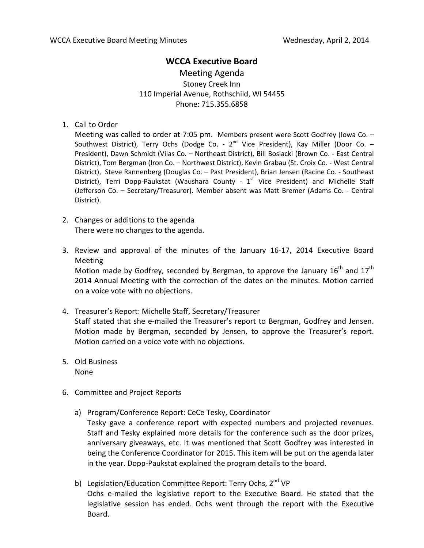## **WCCA Executive Board**

Meeting Agenda Stoney Creek Inn 110 Imperial Avenue, Rothschild, WI 54455 Phone: 715.355.6858

1. Call to Order

Meeting was called to order at 7:05 pm. Members present were Scott Godfrey (Iowa Co. – Southwest District), Terry Ochs (Dodge Co. -  $2^{nd}$  Vice President), Kay Miller (Door Co. -President), Dawn Schmidt (Vilas Co. – Northeast District), Bill Bosiacki (Brown Co. - East Central District), Tom Bergman (Iron Co. – Northwest District), Kevin Grabau (St. Croix Co. - West Central District), Steve Rannenberg (Douglas Co. – Past President), Brian Jensen (Racine Co. - Southeast District), Terri Dopp-Paukstat (Waushara County -  $1<sup>st</sup>$  Vice President) and Michelle Staff (Jefferson Co. – Secretary/Treasurer). Member absent was Matt Bremer (Adams Co. - Central District).

- 2. Changes or additions to the agenda There were no changes to the agenda.
- 3. Review and approval of the minutes of the January 16-17, 2014 Executive Board Meeting Motion made by Godfrey, seconded by Bergman, to approve the January  $16<sup>th</sup>$  and  $17<sup>th</sup>$ 2014 Annual Meeting with the correction of the dates on the minutes. Motion carried on a voice vote with no objections.
- 4. Treasurer's Report: Michelle Staff, Secretary/Treasurer Staff stated that she e-mailed the Treasurer's report to Bergman, Godfrey and Jensen. Motion made by Bergman, seconded by Jensen, to approve the Treasurer's report. Motion carried on a voice vote with no objections.
- 5. Old Business None
- 6. Committee and Project Reports
	- a) Program/Conference Report: CeCe Tesky, Coordinator Tesky gave a conference report with expected numbers and projected revenues.

Staff and Tesky explained more details for the conference such as the door prizes, anniversary giveaways, etc. It was mentioned that Scott Godfrey was interested in being the Conference Coordinator for 2015. This item will be put on the agenda later in the year. Dopp-Paukstat explained the program details to the board.

b) Legislation/Education Committee Report: Terry Ochs, 2<sup>nd</sup> VP Ochs e-mailed the legislative report to the Executive Board. He stated that the legislative session has ended. Ochs went through the report with the Executive Board.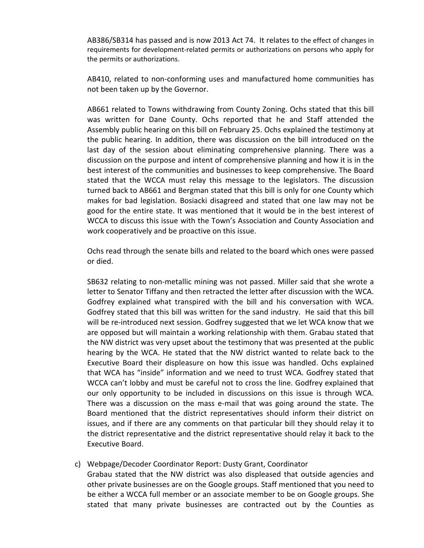AB386/SB314 has passed and is now 2013 Act 74. It relates to the effect of changes in requirements for development-related permits or authorizations on persons who apply for the permits or authorizations.

AB410, related to non-conforming uses and manufactured home communities has not been taken up by the Governor.

AB661 related to Towns withdrawing from County Zoning. Ochs stated that this bill was written for Dane County. Ochs reported that he and Staff attended the Assembly public hearing on this bill on February 25. Ochs explained the testimony at the public hearing. In addition, there was discussion on the bill introduced on the last day of the session about eliminating comprehensive planning. There was a discussion on the purpose and intent of comprehensive planning and how it is in the best interest of the communities and businesses to keep comprehensive. The Board stated that the WCCA must relay this message to the legislators. The discussion turned back to AB661 and Bergman stated that this bill is only for one County which makes for bad legislation. Bosiacki disagreed and stated that one law may not be good for the entire state. It was mentioned that it would be in the best interest of WCCA to discuss this issue with the Town's Association and County Association and work cooperatively and be proactive on this issue.

Ochs read through the senate bills and related to the board which ones were passed or died.

SB632 relating to non-metallic mining was not passed. Miller said that she wrote a letter to Senator Tiffany and then retracted the letter after discussion with the WCA. Godfrey explained what transpired with the bill and his conversation with WCA. Godfrey stated that this bill was written for the sand industry. He said that this bill will be re-introduced next session. Godfrey suggested that we let WCA know that we are opposed but will maintain a working relationship with them. Grabau stated that the NW district was very upset about the testimony that was presented at the public hearing by the WCA. He stated that the NW district wanted to relate back to the Executive Board their displeasure on how this issue was handled. Ochs explained that WCA has "inside" information and we need to trust WCA. Godfrey stated that WCCA can't lobby and must be careful not to cross the line. Godfrey explained that our only opportunity to be included in discussions on this issue is through WCA. There was a discussion on the mass e-mail that was going around the state. The Board mentioned that the district representatives should inform their district on issues, and if there are any comments on that particular bill they should relay it to the district representative and the district representative should relay it back to the Executive Board.

## c) Webpage/Decoder Coordinator Report: Dusty Grant, Coordinator

Grabau stated that the NW district was also displeased that outside agencies and other private businesses are on the Google groups. Staff mentioned that you need to be either a WCCA full member or an associate member to be on Google groups. She stated that many private businesses are contracted out by the Counties as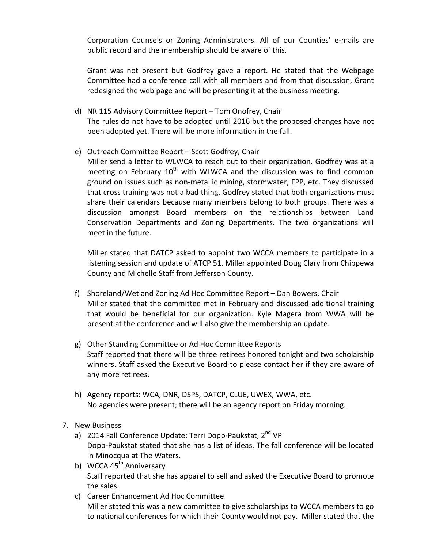Corporation Counsels or Zoning Administrators. All of our Counties' e-mails are public record and the membership should be aware of this.

Grant was not present but Godfrey gave a report. He stated that the Webpage Committee had a conference call with all members and from that discussion, Grant redesigned the web page and will be presenting it at the business meeting.

- d) NR 115 Advisory Committee Report Tom Onofrey, Chair The rules do not have to be adopted until 2016 but the proposed changes have not been adopted yet. There will be more information in the fall.
- e) Outreach Committee Report Scott Godfrey, Chair

Miller send a letter to WLWCA to reach out to their organization. Godfrey was at a meeting on February  $10<sup>th</sup>$  with WLWCA and the discussion was to find common ground on issues such as non-metallic mining, stormwater, FPP, etc. They discussed that cross training was not a bad thing. Godfrey stated that both organizations must share their calendars because many members belong to both groups. There was a discussion amongst Board members on the relationships between Land Conservation Departments and Zoning Departments. The two organizations will meet in the future.

Miller stated that DATCP asked to appoint two WCCA members to participate in a listening session and update of ATCP 51. Miller appointed Doug Clary from Chippewa County and Michelle Staff from Jefferson County.

- f) Shoreland/Wetland Zoning Ad Hoc Committee Report Dan Bowers, Chair Miller stated that the committee met in February and discussed additional training that would be beneficial for our organization. Kyle Magera from WWA will be present at the conference and will also give the membership an update.
- g) Other Standing Committee or Ad Hoc Committee Reports Staff reported that there will be three retirees honored tonight and two scholarship winners. Staff asked the Executive Board to please contact her if they are aware of any more retirees.
- h) Agency reports: WCA, DNR, DSPS, DATCP, CLUE, UWEX, WWA, etc. No agencies were present; there will be an agency report on Friday morning.
- 7. New Business
	- a) 2014 Fall Conference Update: Terri Dopp-Paukstat, 2<sup>nd</sup> VP Dopp-Paukstat stated that she has a list of ideas. The fall conference will be located in Minocqua at The Waters.
	- b) WCCA 45<sup>th</sup> Anniversary Staff reported that she has apparel to sell and asked the Executive Board to promote the sales.
	- c) Career Enhancement Ad Hoc Committee Miller stated this was a new committee to give scholarships to WCCA members to go to national conferences for which their County would not pay. Miller stated that the